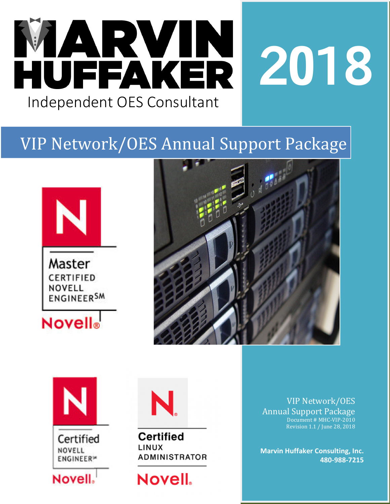

# VIP Network/OES Annual Support Package







Certified NOVELL **ENGINEER**<sup>®</sup>





**Certified** LINUX **ADMINISTRATOR** 

**Novell**.

VIP Network/OES Annual Support Package Document # MHC-VIP-2010 Revision 1.1 / June 28, 2018

**Marvin Huffaker Consulting, Inc. 480-988-7215**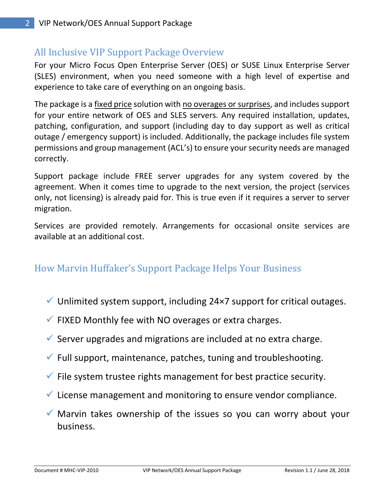# All Inclusive VIP Support Package Overview

For your Micro Focus Open Enterprise Server (OES) or SUSE Linux Enterprise Server (SLES) environment, when you need someone with a high level of expertise and experience to take care of everything on an ongoing basis.

The package is a fixed price solution with no overages or surprises, and includes support for your entire network of OES and SLES servers. Any required installation, updates, patching, configuration, and support (including day to day support as well as critical outage / emergency support) is included. Additionally, the package includes file system permissions and group management (ACL's) to ensure your security needs are managed correctly.

Support package include FREE server upgrades for any system covered by the agreement. When it comes time to upgrade to the next version, the project (services only, not licensing) is already paid for. This is true even if it requires a server to server migration.

Services are provided remotely. Arrangements for occasional onsite services are available at an additional cost.

# How Marvin Huffaker's Support Package Helps Your Business

- $\checkmark$  Unlimited system support, including 24×7 support for critical outages.
- $\checkmark$  FIXED Monthly fee with NO overages or extra charges.
- $\checkmark$  Server upgrades and migrations are included at no extra charge.
- $\checkmark$  Full support, maintenance, patches, tuning and troubleshooting.
- $\checkmark$  File system trustee rights management for best practice security.
- $\checkmark$  License management and monitoring to ensure vendor compliance.
- $\checkmark$  Marvin takes ownership of the issues so you can worry about your business.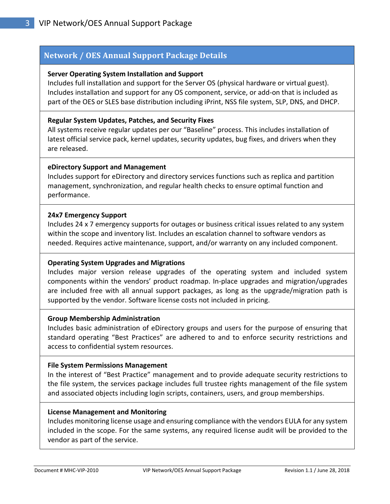#### **Network / OES Annual Support Package Details**

#### **Server Operating System Installation and Support**

Includes full installation and support for the Server OS (physical hardware or virtual guest). Includes installation and support for any OS component, service, or add-on that is included as part of the OES or SLES base distribution including iPrint, NSS file system, SLP, DNS, and DHCP.

#### **Regular System Updates, Patches, and Security Fixes**

All systems receive regular updates per our "Baseline" process. This includes installation of latest official service pack, kernel updates, security updates, bug fixes, and drivers when they are released.

#### **eDirectory Support and Management**

Includes support for eDirectory and directory services functions such as replica and partition management, synchronization, and regular health checks to ensure optimal function and performance.

#### **24x7 Emergency Support**

Includes 24 x 7 emergency supports for outages or business critical issues related to any system within the scope and inventory list. Includes an escalation channel to software vendors as needed. Requires active maintenance, support, and/or warranty on any included component.

#### **Operating System Upgrades and Migrations**

Includes major version release upgrades of the operating system and included system components within the vendors' product roadmap. In-place upgrades and migration/upgrades are included free with all annual support packages, as long as the upgrade/migration path is supported by the vendor. Software license costs not included in pricing.

#### **Group Membership Administration**

Includes basic administration of eDirectory groups and users for the purpose of ensuring that standard operating "Best Practices" are adhered to and to enforce security restrictions and access to confidential system resources.

#### **File System Permissions Management**

In the interest of "Best Practice" management and to provide adequate security restrictions to the file system, the services package includes full trustee rights management of the file system and associated objects including login scripts, containers, users, and group memberships.

#### **License Management and Monitoring**

Includes monitoring license usage and ensuring compliance with the vendors EULA for any system included in the scope. For the same systems, any required license audit will be provided to the vendor as part of the service.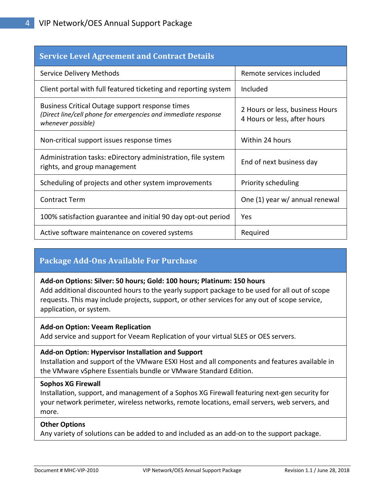| <b>Service Level Agreement and Contract Details</b>                                                                                     |                                                                 |
|-----------------------------------------------------------------------------------------------------------------------------------------|-----------------------------------------------------------------|
| Service Delivery Methods                                                                                                                | Remote services included                                        |
| Client portal with full featured ticketing and reporting system                                                                         | Included                                                        |
| Business Critical Outage support response times<br>(Direct line/cell phone for emergencies and immediate response<br>whenever possible) | 2 Hours or less, business Hours<br>4 Hours or less, after hours |
| Non-critical support issues response times                                                                                              | Within 24 hours                                                 |
| Administration tasks: eDirectory administration, file system<br>rights, and group management                                            | End of next business day                                        |
| Scheduling of projects and other system improvements                                                                                    | Priority scheduling                                             |
| <b>Contract Term</b>                                                                                                                    | One (1) year w/ annual renewal                                  |
| 100% satisfaction guarantee and initial 90 day opt-out period                                                                           | Yes                                                             |
| Active software maintenance on covered systems                                                                                          | Required                                                        |

#### **Package Add-Ons Available For Purchase**

#### **Add-on Options: Silver: 50 hours; Gold: 100 hours; Platinum: 150 hours**

Add additional discounted hours to the yearly support package to be used for all out of scope requests. This may include projects, support, or other services for any out of scope service, application, or system.

#### **Add-on Option: Veeam Replication**

Add service and support for Veeam Replication of your virtual SLES or OES servers.

#### **Add-on Option: Hypervisor Installation and Support**

Installation and support of the VMware ESXI Host and all components and features available in the VMware vSphere Essentials bundle or VMware Standard Edition.

#### **Sophos XG Firewall**

Installation, support, and management of a Sophos XG Firewall featuring next-gen security for your network perimeter, wireless networks, remote locations, email servers, web servers, and more.

#### **Other Options**

Any variety of solutions can be added to and included as an add-on to the support package.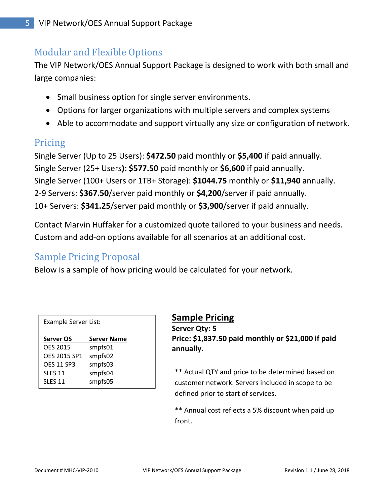# Modular and Flexible Options

The VIP Network/OES Annual Support Package is designed to work with both small and large companies:

- Small business option for single server environments.
- Options for larger organizations with multiple servers and complex systems
- Able to accommodate and support virtually any size or configuration of network.

## Pricing

Single Server (Up to 25 Users): **\$472.50** paid monthly or **\$5,400** if paid annually. Single Server (25+ Users**): \$577.50** paid monthly or **\$6,600** if paid annually. Single Server (100+ Users or 1TB+ Storage): **\$1044.75** monthly or **\$11,940** annually. 2-9 Servers: **\$367.50**/server paid monthly or **\$4,200**/server if paid annually. 10+ Servers: **\$341.25**/server paid monthly or **\$3,900**/server if paid annually.

Contact Marvin Huffaker for a customized quote tailored to your business and needs. Custom and add-on options available for all scenarios at an additional cost.

# Sample Pricing Proposal

Below is a sample of how pricing would be calculated for your network.

| Example Server List: |                    |
|----------------------|--------------------|
| Server OS            | <b>Server Name</b> |
| <b>OES 2015</b>      | smpfs01            |
| <b>OES 2015 SP1</b>  | smpfs02            |
| <b>OFS 11 SP3</b>    | smpfs03            |
| <b>SLES 11</b>       | smpfs04            |
| <b>SLFS 11</b>       | smpfs05            |

### **Sample Pricing**

**Server Qty: 5 Price: \$1,837.50 paid monthly or \$21,000 if paid annually.** 

\*\* Actual QTY and price to be determined based on customer network. Servers included in scope to be defined prior to start of services.

\*\* Annual cost reflects a 5% discount when paid up front.